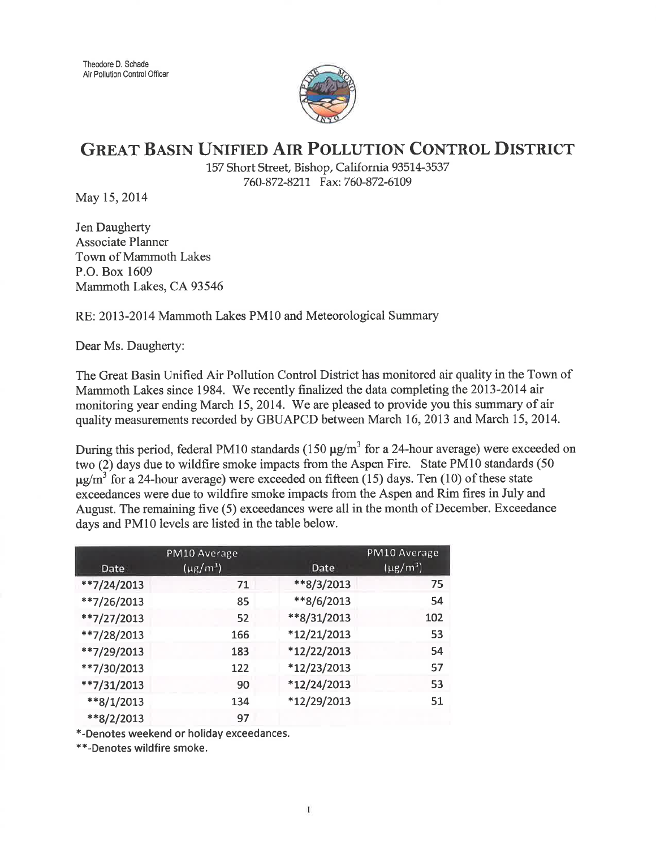

## GREAT BASIN UNIFIED AIR POLLUTION CONTROL DISTRICT

157 Short Street, Bishop, California 93514-3537 760-872-8211 Fax: 760-872-6109

May 15, 2014

Jen Daugherty Associate Planner Town of Mammoth Lakes P.O. Box 1609 Mammoth Lakes, CA 93546

RE: 2013-2014 Mammoth Lakes PM10 and Meteorological Summary

Dear Ms. Daugherty:

The Great Basin Unified Air Pollution Control District has monitored air quality in the Town of Mammoth Lakes since 1984. We recently finalized the data completing the 2013-2014 air monitoring year ending March 15, 2014. We are pleased to provide you this summary of air quality measurements recorded by GBUAPCD between March 16, 2013 and March 15, 2014.

During this period, federal PM10 standards (150  $\mu$ g/m<sup>3</sup> for a 24-hour average) were exceeded on two (2) days due to wildfire smoke impacts from the Aspen Fire. State PM10 standards (50)  $\mu$ g/m<sup>3</sup> for a 24-hour average) were exceeded on fifteen (15) days. Ten (10) of these state exceedances were due to wildfire smoke impacts from the Aspen and Rim fires in July and August. The remaining five (5) exceedances were all in the month of December. Exceedance days and PMl0 levels are listed in the table below.

|               | PM10 Average              |             | PM10 Average              |
|---------------|---------------------------|-------------|---------------------------|
| Date          | $(\mu$ g/m <sup>3</sup> ) | Date        | $(\mu$ g/m <sup>3</sup> ) |
| **7/24/2013   | 71                        | **8/3/2013  | 75                        |
| $**7/26/2013$ | 85                        | **8/6/2013  | 54                        |
| $**7/27/2013$ | 52                        | **8/31/2013 | 102                       |
| **7/28/2013   | 166                       | *12/21/2013 | 53                        |
| **7/29/2013   | 183                       | *12/22/2013 | 54                        |
| **7/30/2013   | 122                       | *12/23/2013 | 57                        |
| **7/31/2013   | 90                        | *12/24/2013 | 53                        |
| $*$ *8/1/2013 | 134                       | *12/29/2013 | 51                        |
| $*8/2/2013$   | 97                        |             |                           |

\*-Denotes weekend or holiday exceedances.

\* \*-Denotes wildfire smoke.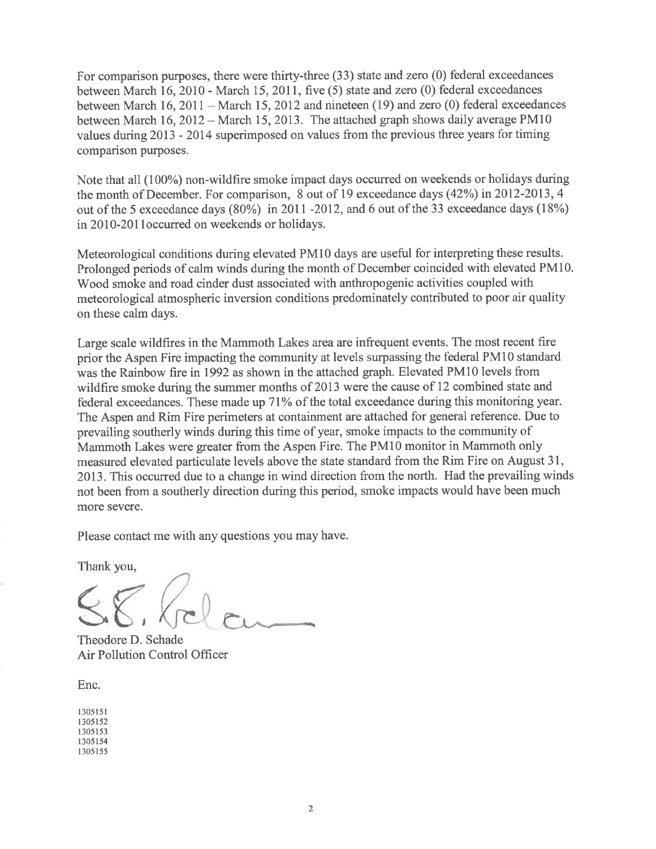For comparison purposes, there were thirty-three (33) state and zero (0) federal exceedances between March 16,2010 - March 15,201I , five (5) state and zero (0) federal exceedances between March  $16$ ,  $2011 -$  March  $15$ ,  $2012$  and nineteen (19) and zero (0) federal exceedances between March 16, 2012 - March 15, 2013. The attached graph shows daily average PM10 values during 2013 - 2014 superimposed on values from the previous three years for timing comparison purposes.

Note that all (100%) non-wildfire smoke impact days occurred on weekends or holidays during the month of December. For comparison,  $8$  out of 19 exceedance days (42%) in 2012-2013, 4 out of the 5 exceedance days (80%) in20lI -2012, and 6 out of the 33 exceedance days (18%) in20l0-20l loccurred on weekends or holidays.

Meteorological conditions during elevated PM10 days are useful for interpreting these results. Prolonged periods of calm winds during the month of December coincided with elevated PM10. Wood smoke and road cinder dust associated with anthropogenic activities coupled with meteorological atmospheric inversion conditions predominately contributed to poor air quality on these calm days.

Large scale wildfires in the Mammoth Lakes area are infrequent events. The most recent fire prior the Aspen Fire impacting the community at levels surpassing the federal PMl0 standard was the Rainbow fire in 1992 as shown in the attached graph. Elevated PM10 levels from wildfire smoke during the summer months of 2013 were the cause of 12 combined state and federal exceedances. These made up  $71\%$  of the total exceedance during this monitoring year. The Aspen and Rim Fire perimeters at containment are attached for general reference. Due to prevailing southerly winds during this time of year, smoke impacts to the community of Mammoth Lakes were greater from the Aspen Fire. The PM10 monitor in Mammoth only measured elevated particulate levels above the state standard from the Rim Fire on August 31, 2013. This occurred due to a change in wind direction from the north. Had the prevailing winds not been from a southerly direction during this period, smoke impacts would have been much more severe.

Please contact me with any questions you may have.

Thank you,

Theodore D. Schade Air Pollution Control Officer

Enc.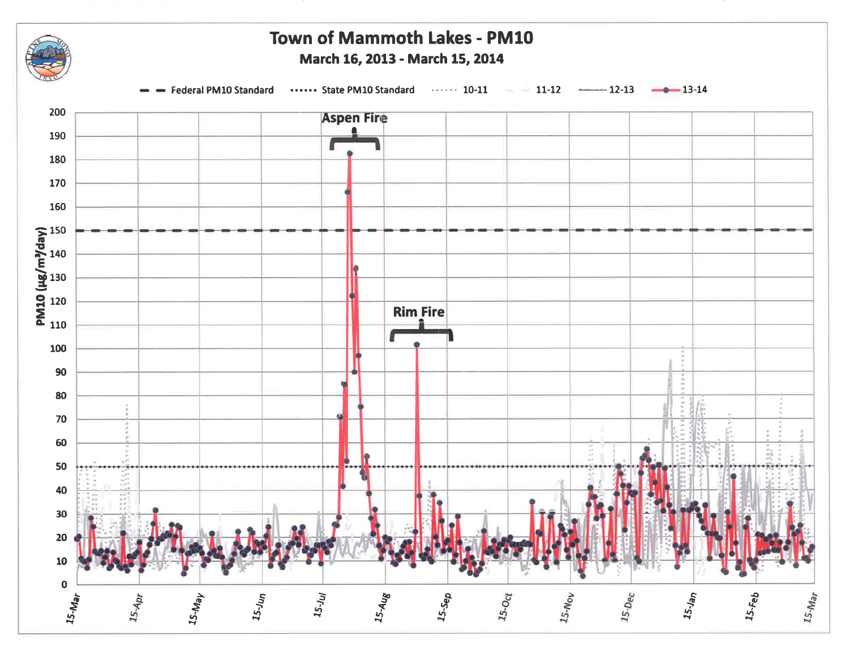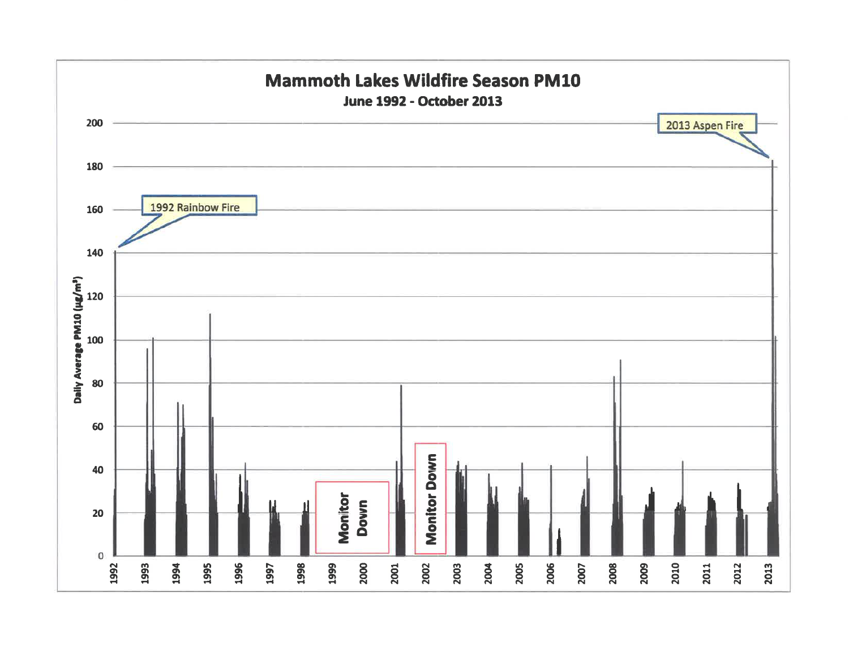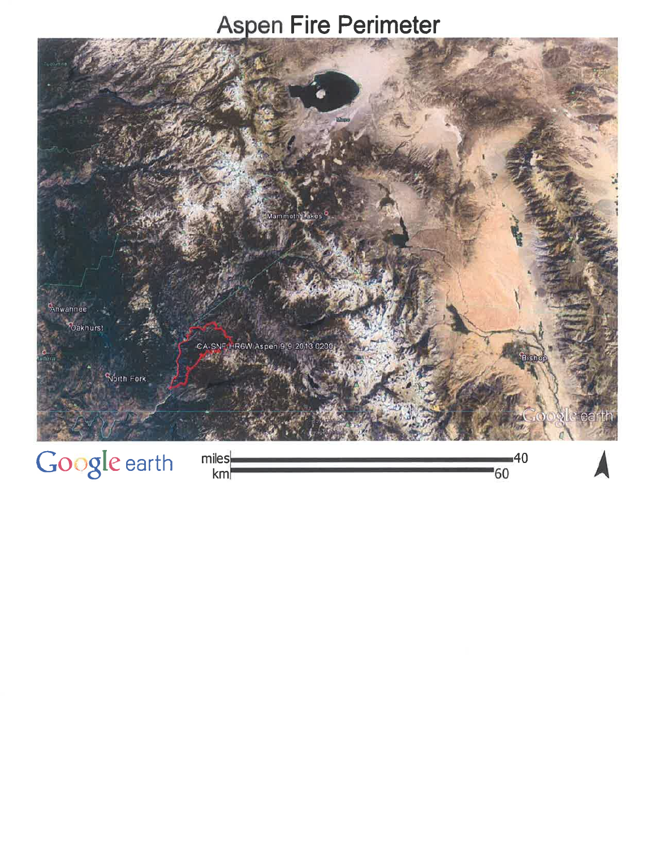## **Aspen Fire Perimeter**

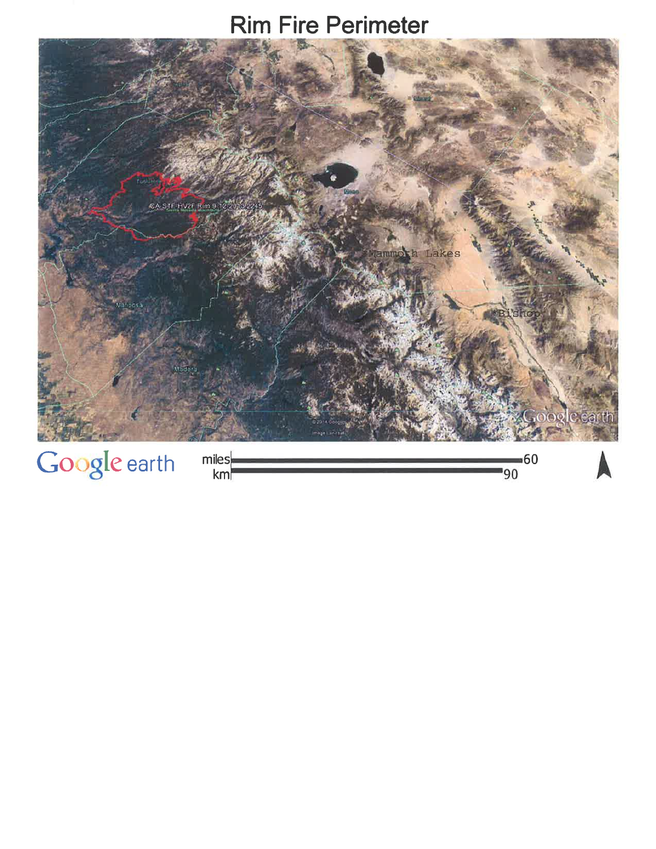## **Rim Fire Perimeter**